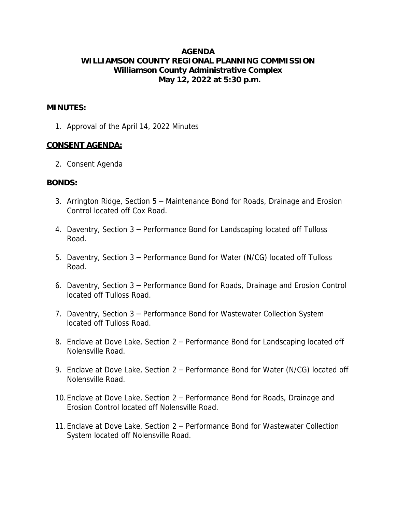## **AGENDA WILLIAMSON COUNTY REGIONAL PLANNING COMMISSION Williamson County Administrative Complex May 12, 2022 at 5:30 p.m.**

#### **MINUTES:**

1. Approval of the April 14, 2022 Minutes

### **CONSENT AGENDA:**

2. Consent Agenda

#### **BONDS:**

- 3. Arrington Ridge, Section 5 Maintenance Bond for Roads, Drainage and Erosion Control located off Cox Road.
- 4. Daventry, Section 3 Performance Bond for Landscaping located off Tulloss Road.
- 5. Daventry, Section 3 Performance Bond for Water (N/CG) located off Tulloss Road.
- 6. Daventry, Section 3 Performance Bond for Roads, Drainage and Erosion Control located off Tulloss Road.
- 7. Daventry, Section 3 Performance Bond for Wastewater Collection System located off Tulloss Road.
- 8. Enclave at Dove Lake, Section 2 Performance Bond for Landscaping located off Nolensville Road.
- 9. Enclave at Dove Lake, Section 2 Performance Bond for Water (N/CG) located off Nolensville Road.
- 10.Enclave at Dove Lake, Section 2 Performance Bond for Roads, Drainage and Erosion Control located off Nolensville Road.
- 11.Enclave at Dove Lake, Section 2 Performance Bond for Wastewater Collection System located off Nolensville Road.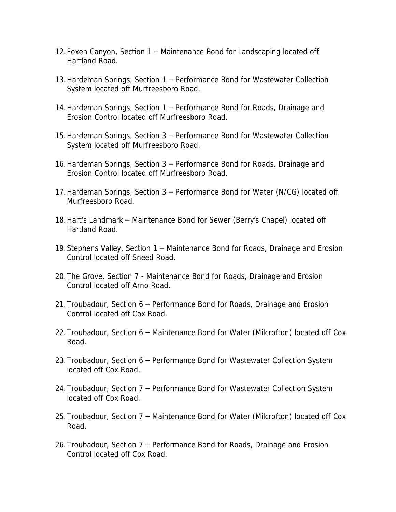- 12.Foxen Canyon, Section 1 Maintenance Bond for Landscaping located off Hartland Road.
- 13.Hardeman Springs, Section 1 Performance Bond for Wastewater Collection System located off Murfreesboro Road.
- 14.Hardeman Springs, Section 1 Performance Bond for Roads, Drainage and Erosion Control located off Murfreesboro Road.
- 15.Hardeman Springs, Section 3 Performance Bond for Wastewater Collection System located off Murfreesboro Road.
- 16.Hardeman Springs, Section 3 Performance Bond for Roads, Drainage and Erosion Control located off Murfreesboro Road.
- 17.Hardeman Springs, Section 3 Performance Bond for Water (N/CG) located off Murfreesboro Road.
- 18.Hart's Landmark Maintenance Bond for Sewer (Berry's Chapel) located off Hartland Road.
- 19.Stephens Valley, Section 1 Maintenance Bond for Roads, Drainage and Erosion Control located off Sneed Road.
- 20.The Grove, Section 7 Maintenance Bond for Roads, Drainage and Erosion Control located off Arno Road.
- 21.Troubadour, Section 6 Performance Bond for Roads, Drainage and Erosion Control located off Cox Road.
- 22.Troubadour, Section 6 Maintenance Bond for Water (Milcrofton) located off Cox Road.
- 23.Troubadour, Section 6 Performance Bond for Wastewater Collection System located off Cox Road.
- 24.Troubadour, Section 7 Performance Bond for Wastewater Collection System located off Cox Road.
- 25.Troubadour, Section 7 Maintenance Bond for Water (Milcrofton) located off Cox Road.
- 26.Troubadour, Section 7 Performance Bond for Roads, Drainage and Erosion Control located off Cox Road.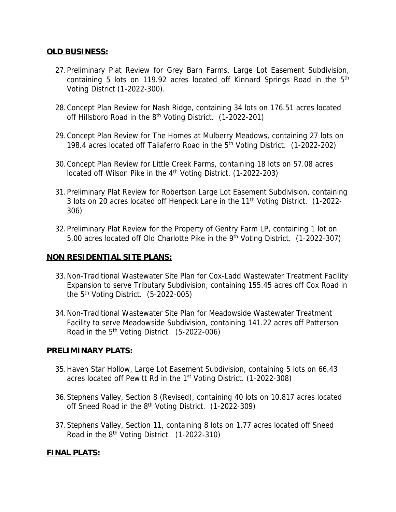## **OLD BUSINESS:**

- 27.Preliminary Plat Review for Grey Barn Farms, Large Lot Easement Subdivision, containing 5 lots on 119.92 acres located off Kinnard Springs Road in the 5<sup>th</sup> Voting District (1-2022-300).
- 28.Concept Plan Review for Nash Ridge, containing 34 lots on 176.51 acres located off Hillsboro Road in the 8<sup>th</sup> Voting District. (1-2022-201)
- 29.Concept Plan Review for The Homes at Mulberry Meadows, containing 27 lots on 198.4 acres located off Taliaferro Road in the 5<sup>th</sup> Voting District. (1-2022-202)
- 30.Concept Plan Review for Little Creek Farms, containing 18 lots on 57.08 acres located off Wilson Pike in the 4<sup>th</sup> Voting District. (1-2022-203)
- 31.Preliminary Plat Review for Robertson Large Lot Easement Subdivision, containing 3 lots on 20 acres located off Henpeck Lane in the 11<sup>th</sup> Voting District. (1-2022-306)
- 32.Preliminary Plat Review for the Property of Gentry Farm LP, containing 1 lot on 5.00 acres located off Old Charlotte Pike in the 9<sup>th</sup> Voting District. (1-2022-307)

### **NON RESIDENTIAL SITE PLANS:**

- 33.Non-Traditional Wastewater Site Plan for Cox-Ladd Wastewater Treatment Facility Expansion to serve Tributary Subdivision, containing 155.45 acres off Cox Road in the  $5<sup>th</sup>$  Voting District.  $(5-2022-005)$
- 34.Non-Traditional Wastewater Site Plan for Meadowside Wastewater Treatment Facility to serve Meadowside Subdivision, containing 141.22 acres off Patterson Road in the  $5<sup>th</sup>$  Voting District. (5-2022-006)

# **PRELIMINARY PLATS:**

- 35.Haven Star Hollow, Large Lot Easement Subdivision, containing 5 lots on 66.43 acres located off Pewitt Rd in the 1<sup>st</sup> Voting District. (1-2022-308)
- 36.Stephens Valley, Section 8 (Revised), containing 40 lots on 10.817 acres located off Sneed Road in the 8<sup>th</sup> Voting District. (1-2022-309)
- 37.Stephens Valley, Section 11, containing 8 lots on 1.77 acres located off Sneed Road in the  $8<sup>th</sup>$  Voting District. (1-2022-310)

# **FINAL PLATS:**